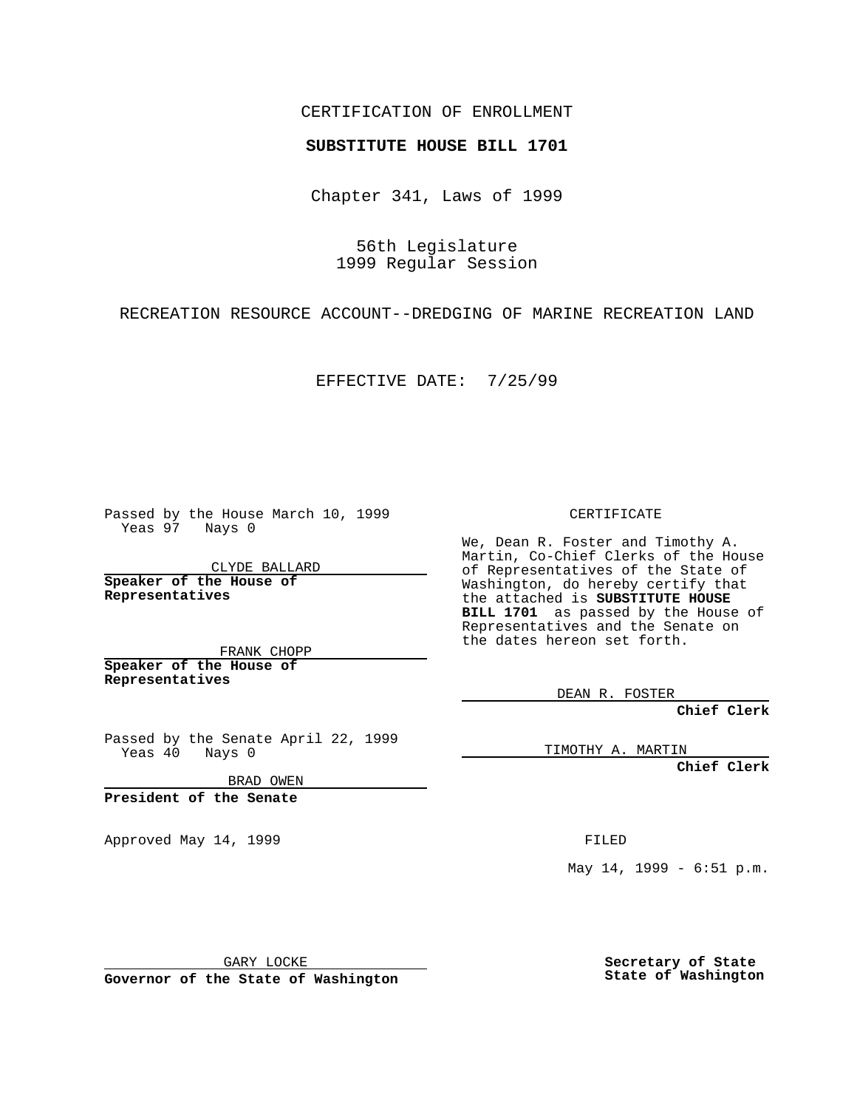## CERTIFICATION OF ENROLLMENT

## **SUBSTITUTE HOUSE BILL 1701**

Chapter 341, Laws of 1999

56th Legislature 1999 Regular Session

RECREATION RESOURCE ACCOUNT--DREDGING OF MARINE RECREATION LAND

EFFECTIVE DATE: 7/25/99

Passed by the House March 10, 1999 Yeas 97 Nays 0

CLYDE BALLARD **Speaker of the House of Representatives**

FRANK CHOPP **Speaker of the House of Representatives**

Passed by the Senate April 22, 1999 Yeas 40 Nays 0

BRAD OWEN

**President of the Senate**

Approved May 14, 1999 **FILED** 

CERTIFICATE

We, Dean R. Foster and Timothy A. Martin, Co-Chief Clerks of the House of Representatives of the State of Washington, do hereby certify that the attached is **SUBSTITUTE HOUSE BILL 1701** as passed by the House of Representatives and the Senate on the dates hereon set forth.

DEAN R. FOSTER

**Chief Clerk**

TIMOTHY A. MARTIN

**Chief Clerk**

May 14, 1999 - 6:51 p.m.

GARY LOCKE

**Governor of the State of Washington**

**Secretary of State State of Washington**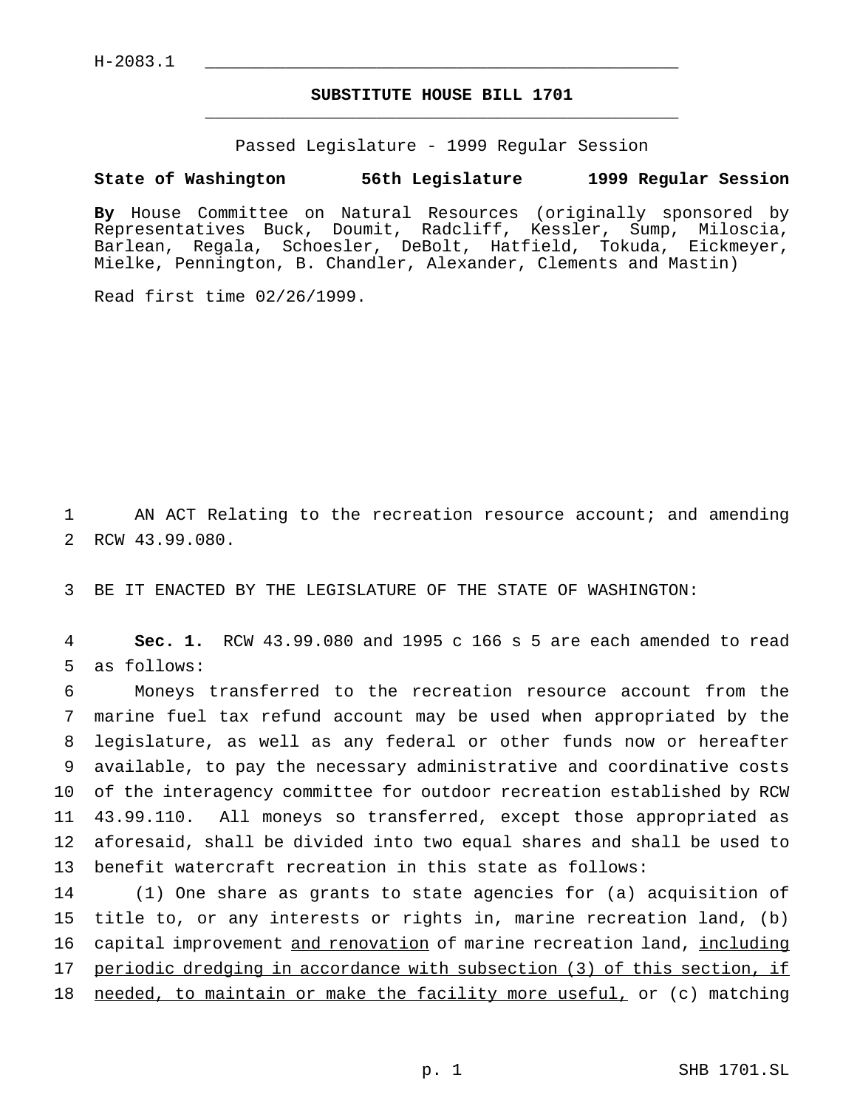## **SUBSTITUTE HOUSE BILL 1701** \_\_\_\_\_\_\_\_\_\_\_\_\_\_\_\_\_\_\_\_\_\_\_\_\_\_\_\_\_\_\_\_\_\_\_\_\_\_\_\_\_\_\_\_\_\_\_

Passed Legislature - 1999 Regular Session

## **State of Washington 56th Legislature 1999 Regular Session**

**By** House Committee on Natural Resources (originally sponsored by Representatives Buck, Doumit, Radcliff, Kessler, Sump, Miloscia, Barlean, Regala, Schoesler, DeBolt, Hatfield, Tokuda, Eickmeyer, Mielke, Pennington, B. Chandler, Alexander, Clements and Mastin)

Read first time 02/26/1999.

1 AN ACT Relating to the recreation resource account; and amending 2 RCW 43.99.080.

3 BE IT ENACTED BY THE LEGISLATURE OF THE STATE OF WASHINGTON:

4 **Sec. 1.** RCW 43.99.080 and 1995 c 166 s 5 are each amended to read 5 as follows:

 Moneys transferred to the recreation resource account from the marine fuel tax refund account may be used when appropriated by the legislature, as well as any federal or other funds now or hereafter available, to pay the necessary administrative and coordinative costs of the interagency committee for outdoor recreation established by RCW 43.99.110. All moneys so transferred, except those appropriated as aforesaid, shall be divided into two equal shares and shall be used to benefit watercraft recreation in this state as follows:

14 (1) One share as grants to state agencies for (a) acquisition of 15 title to, or any interests or rights in, marine recreation land, (b) 16 capital improvement and renovation of marine recreation land, including 17 periodic dredging in accordance with subsection (3) of this section, if 18 needed, to maintain or make the facility more useful, or (c) matching